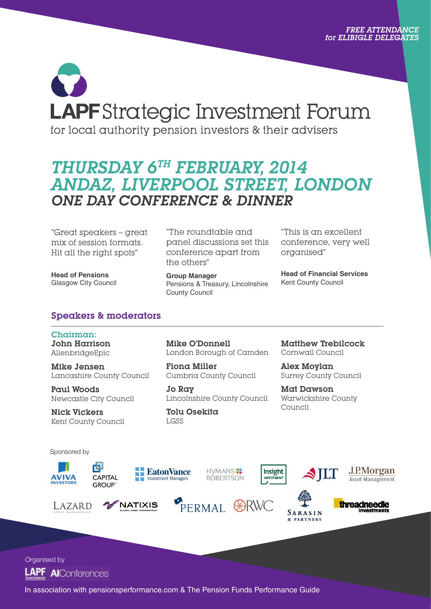# **LAPF** Strategic Investment Forum for local authority pension investors & their advisers

## *THURSDAY 6TH FEBRUARY, 2014 ANDAZ, LIVERPOOL STREET, LONDON ONE DAY CONFERENCE & DINNER*

"Great speakers – great mix of session formats. Hit all the right spots"

**Head of Pensions** Glasgow City Council

"The roundtable and panel discussions set this conference apart from the others"

**Group Manager** Pensions & Treasury, Lincolnshire County Council

"This is an excellent conference, very well organised"

**Head of Financial Services**  Kent County Council

#### Speakers & moderators

Chairman: John Harrison AllenbridgeEpic

Mike Jensen Lancashire County Council

Paul Woods Newcastle City Council

唕

Nick Vickers Kent County Council Mike O'Donnell London Borough of Camden

Fiona Miller Cumbria County Council

Jo Ray Lincolnshire County Council

Tolu Osekita LGSS

Matthew Trebilcock Cornwall Council

Alex Moylan Surrey County Council

Mat Dawson Warwickshire County Council

Sponsored by



LAZARD



NATIXIS



PERMAL **SSRWC** 







SARASIN & PARTNERS



Organised by



In association with pensionsperformance.com & The Pension Funds Performance Guide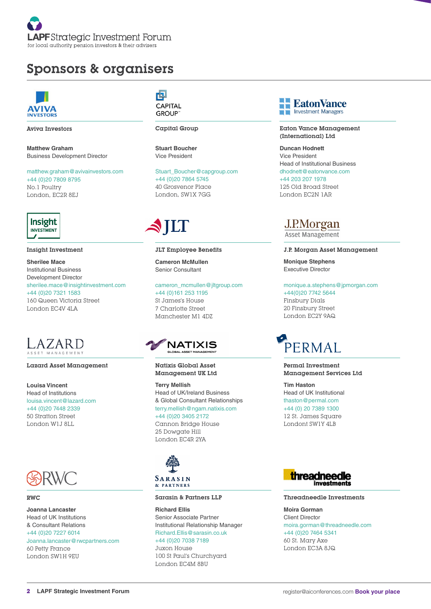

## Sponsors & organisers



Aviva Investors

**Matthew Graham** Business Development Director

matthew.graham@avivainvestors.com +44 (0)20 7809 8795 No.1 Poultry London, EC2R 8EJ



Insight Investment

**Sherilee Mace** Institutional Business Development Director sherilee.mace@insightinvestment.com +44 (0)20 7321 1583 160 Queen Victoria Street London EC4V 4LA



#### Lazard Asset Management

**Louisa Vincent** Head of Institutions louisa.vincent@lazard.com +44 (0)20 7448 2339 50 Stratton Street London W1J 8LL



#### RWC

**Joanna Lancaster** Head of UK Institutions & Consultant Relations +44 (0)20 7227 6014 Joanna.lancaster@rwcpartners.com 60 Petty France London SW1H 9EU

内 CAPITAL **GROUP** 

Capital Group

**Stuart Boucher** Vice President

Stuart\_Boucher@capgroup.com +44 (0)20 7864 5745 40 Grosvenor Place London, SW1X 7GG

## STILT

JLT Employee Benefits **Cameron McMullen** Senior Consultant

cameron\_mcmullen@jltgroup.com +44 (0)161 253 1195 St James's House 7 Charlotte Street Manchester M1 4DZ



Natixis Global Asset Management UK Ltd

**Terry Mellish** Head of UK/Ireland Business & Global Consultant Relationships terry.mellish@ngam.natixis.com +44 (0)20 3405 2172 Cannon Bridge House 25 Dowgate Hill London EC4R 2YA



#### Sarasin & Partners LLP

**Richard Ellis** Senior Associate Partner Institutional Relationship Manager Richard.Ellis@sarasin.co.uk +44 (0)20 7038 7189

Juxon House 100 St Paul's Churchyard London EC4M 8BU



Eaton Vance Management (International) Ltd

**Duncan Hodnett** Vice President Head of Institutional Business dhodnett@eatonvance.com +44 203 207 1978 125 Old Broad Street London EC2N 1AR

### J.P.Morgan

**Asset Management** 

J.P. Morgan Asset Management

**Monique Stephens** Executive Director

monique.a.stephens@jpmorgan.com +44(0)20 7742 5644 Finsbury Dials

20 Finsbury Street London EC2Y 9AQ



Permal Investment Management Services Ltd

**Tim Haston** Head of UK Institutional thaston@permal.com +44 (0) 20 7389 1300 12 St. James Square Londont SW1Y 4LB



#### Threadneedle Investments

**Moira Gorman** Client Director moira.gorman@threadneedle.com +44 (0)20 7464 5341 60 St. Mary Axe London EC3A 8JQ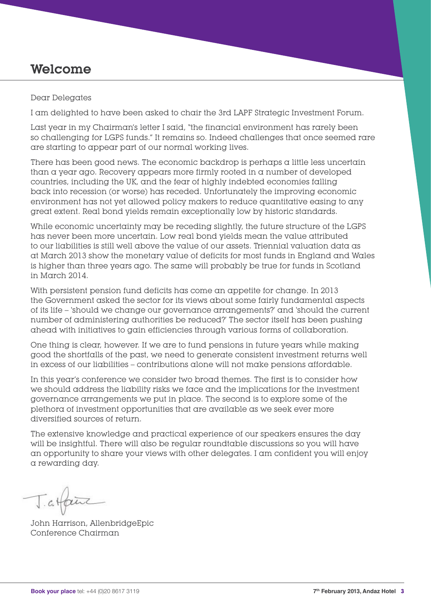## Welcome

#### Dear Delegates

I am delighted to have been asked to chair the 3rd LAPF Strategic Investment Forum.

Last year in my Chairman's letter I said, "the financial environment has rarely been so challenging for LGPS funds." It remains so. Indeed challenges that once seemed rare are starting to appear part of our normal working lives.

There has been good news. The economic backdrop is perhaps a little less uncertain than a year ago. Recovery appears more firmly rooted in a number of developed countries, including the UK, and the fear of highly indebted economies falling back into recession (or worse) has receded. Unfortunately the improving economic environment has not yet allowed policy makers to reduce quantitative easing to any great extent. Real bond yields remain exceptionally low by historic standards.

While economic uncertainty may be receding slightly, the future structure of the LGPS has never been more uncertain. Low real bond yields mean the value attributed to our liabilities is still well above the value of our assets. Triennial valuation data as at March 2013 show the monetary value of deficits for most funds in England and Wales is higher than three years ago. The same will probably be true for funds in Scotland in March 2014.

With persistent pension fund deficits has come an appetite for change. In 2013 the Government asked the sector for its views about some fairly fundamental aspects of its life – 'should we change our governance arrangements?' and 'should the current number of administering authorities be reduced?' The sector itself has been pushing ahead with initiatives to gain efficiencies through various forms of collaboration.

One thing is clear, however. If we are to fund pensions in future years while making good the shortfalls of the past, we need to generate consistent investment returns well in excess of our liabilities – contributions alone will not make pensions affordable.

In this year's conference we consider two broad themes. The first is to consider how we should address the liability risks we face and the implications for the investment governance arrangements we put in place. The second is to explore some of the plethora of investment opportunities that are available as we seek ever more diversified sources of return.

The extensive knowledge and practical experience of our speakers ensures the day will be insightful. There will also be regular roundtable discussions so you will have an opportunity to share your views with other delegates. I am confident you will enjoy a rewarding day.

Tatfaire

John Harrison, AllenbridgeEpic Conference Chairman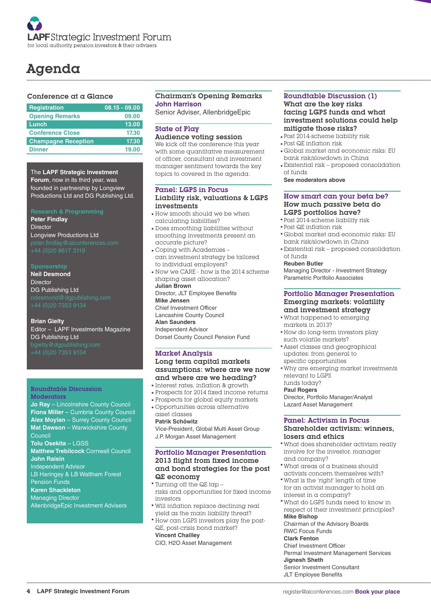## Agenda

#### Conference at a Glance

| <b>Registration</b>        | $08.15 - 09.00$ |
|----------------------------|-----------------|
| <b>Opening Remarks</b>     | 09.00           |
| Lunch                      | 13.00           |
| <b>Conference Close</b>    | 17.30           |
| <b>Champagne Reception</b> | 17.30           |
| <b>Dinner</b>              | 19.00           |
|                            |                 |

The **LAPF Strategic Investment Forum**, now in its third year, was founded in partnership by Longview Productions Ltd and DG Publishing Ltd.

**Peter Findlay** Director Longview Productions Ltd

**Neil Desmond Director** DG Publishing Ltd

**Brian Gielty** Editor – LAPF Investments Magazine DG Publishing Ltd

#### Roundtable Discussion **Moderators**

**Jo Ray** – Lincolnshire County Council **Fiona Miller** – Cumbria County Council **Alex Moylan** – Surrey County Council **Mat Dawson** – Warwickshire County Council **Tolu Osekita** – LGSS **Matthew Trebilcock** Cornwall Council **John Raisin** Independent Advisor LB Haringey & LB Waltham Forest Pension Funds **Karen Shackleton**

Managing Director AllenbridgeEpic Investment Advisers

#### Chairman's Opening Remarks **John Harrison**

Senior Adviser, AllenbridgeEpic

#### State of Play

Audience voting session

We kick off the conference this year with some quantitative measurement of officer, consultant and investment manager sentiment towards the key topics to covered in the agenda.

#### Panel: LGPS in Focus Liability risk, valuations & LGPS investments

- How smooth should we be when calculating liabilities?
- Does smoothing liabilities without smoothing investments present an accurate picture?
- Coping with Academies can investment strategy be tailored to individual employers?
- Now we CARE how is the 2014 scheme shaping asset allocation? **Julian Brown**

Director, JLT Employee Benefits **Mike Jensen**  Chief Investment Officer

Lancashire County Council

**Alan Saunders**  Independent Advisor

Dorset County Council Pension Fund

#### Market Analysis Long term capital markets assumptions: where are we now and where are we heading?

- Interest rates, inflation & growth
- Prospects for 2014 fixed income returns
- Prospects for global equity markets
- Opportunities across alternative asset classes

#### **Patrik Schöwitz**

Vice-President, Global Multi Asset Group J.P. Morgan Asset Management

#### Portfolio Manager Presentation 2013 flight from fixed income and bond strategies for the post QE economy

- Turning off the QE tap risks and opportunities for fixed income investors
- Will inflation replace declining real yield as the main liability threat?
- How can LGPS investors play the post-QE, post-crisis bond market?

**Vincent Chailley**

CIO, H2O Asset Management

#### Roundtable Discussion (1) What are the key risks facing LGPS funds and what investment solutions could help mitigate those risks?

- Post 2014-scheme liability risk
- Post QE inflation risk
- Global market and economic risks: EU bank risk/slowdown in China
- Existential risk proposed consolidation of funds

**See moderators above**

#### How smart can your beta be? How much passive beta do LGPS portfolios have?

- Post 2014-scheme liability risk
- Post QE inflation risk
- Global market and economic risks: EU bank risk/slowdown in China
- Existential risk proposed consolidation of funds

#### **Reuben Butler**

Managing Director - Investment Strategy Parametric Portfolio Associates

#### Portfolio Manager Presentation Emerging markets: volatility and investment strategy

- What happened to emerging markets in 2013?
- How do long-term investors play such volatile markets?
- Asset classes and geographical updates: from general to
- Why are emerging market investments specific opportunities

relevant to LGPS funds today?

#### **Paul Rogers**

Director, Portfolio Manager/Analyst Lazard Asset Management

#### Panel: Activism in Focus Shareholder activism: winners,

#### losers and ethics

- What does shareholder activism really involve for the investor, manager and company?
- What areas of a business should activists concern themselves with?
- What is the 'right' length of time for an activist manager to hold an interest in a company?
- What do LGPS funds need to know in respect of their investment principles?

#### **Mike Bishop**

Chairman of the Advisory Boards RWC Focus Funds

#### **Clark Fenton**

Chief Investment Officer Permal Investment Management Services

#### **Jignesh Sheth**

Senior Investment Consultant JLT Employee Benefits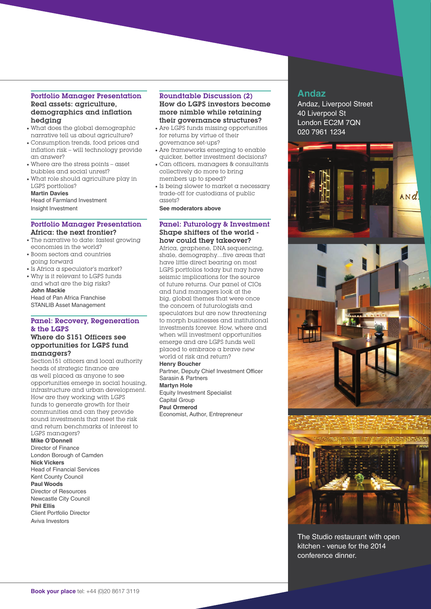#### Portfolio Manager Presentation Real assets: agriculture, demographics and inflation hedging

- What does the global demographic narrative tell us about agriculture?
- Consumption trends, food prices and inflation risk – will technology provide an answer?
- Where are the stress points asset bubbles and social unrest?
- What role should agriculture play in LGPS portfolios?

**Martin Davies** Head of Farmland Investment Insight Investment

#### Portfolio Manager Presentation Africa: the next frontier?

- The narrative to date: fastest growing economies in the world?
- Boom sectors and countries going forward
- Is Africa a speculator's market?
- Why is it relevant to LGPS funds and what are the big risks? **John Mackie**

Head of Pan Africa Franchise STANLIB Asset Management

#### Panel: Recovery, Regeneration & the LGPS

#### Where do S151 Officers see opportunities for LGPS fund managers?

Section151 officers and local authority heads of strategic finance are as well placed as anyone to see opportunities emerge in social housing, infrastructure and urban development. How are they working with LGPS funds to generate growth for their communities and can they provide sound investments that meet the risk and return benchmarks of interest to LGPS managers?

#### **Mike O'Donnell**

Director of Finance London Borough of Camden **Nick Vickers** Head of Financial Services Kent County Council **Paul Woods** Director of Resources Newcastle City Council **Phil Ellis** Client Portfolio Director

Aviva Investors

#### Roundtable Discussion (2) How do LGPS investors become more nimble while retaining their governance structures?

- Are LGPS funds missing opportunities for returns by virtue of their governance set-ups?
- Are frameworks emerging to enable quicker, better investment decisions?
- Can officers, managers & consultants collectively do more to bring members up to speed?
- Is being slower to market a necessary trade-off for custodians of public assets?

**See moderators above**

#### Panel: Futurology & Investment Shape shifters of the world how could they takeover?

Africa, graphene, DNA sequencing, shale, demography…five areas that have little direct bearing on most LGPS portfolios today but may have seismic implications for the source of future returns. Our panel of CIOs and fund managers look at the big, global themes that were once the concern of futurologists and speculators but are now threatening to morph businesses and institutional investments forever. How, where and when will investment opportunities emerge and are LGPS funds well placed to embrace a brave new world of risk and return?

#### **Henry Boucher**

Partner, Deputy Chief Investment Officer Sarasin & Partners **Martyn Hole**

Equity Investment Specialist Capital Group **Paul Ormerod** Economist, Author, Entrepreneur

#### **Andaz**

Andaz, Liverpool Street 40 Liverpool St London EC2M 7QN 020 7961 1234



The Studio restaurant with open kitchen - venue for the 2014 conference dinner.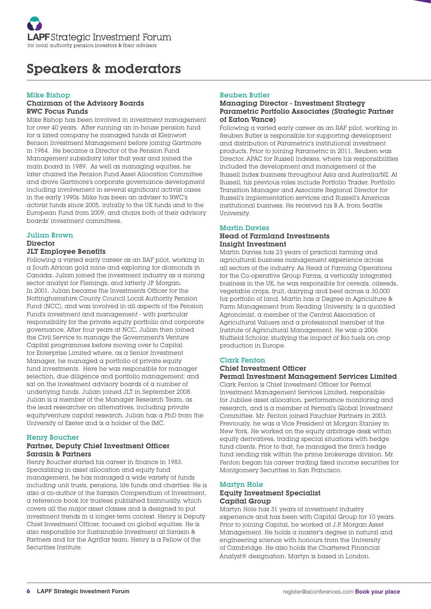## Speakers & moderators

#### Mike Bishop

#### Chairman of the Advisory Boards RWC Focus Funds

Mike Bishop has been involved in investment management for over 40 years. After running an in-house pension fund for a listed company he managed funds at Kleinwort Benson Investment Management before joining Gartmore in 1984. He became a Director of the Pension Fund Management subsidiary later that year and joined the main board in 1989. As well as managing equities, he later chaired the Pension Fund Asset Allocation Committee and drove Gartmore's corporate governance development including involvement in several significant activist cases in the early 1990s. Mike has been an adviser to RWC's activist funds since 2005, initially to the UK funds and to the European Fund from 2009, and chairs both of their advisory boards' investment committees.

#### Julian Brown

#### **Director**

#### JLT Employee Benefits

Following a varied early career as an RAF pilot, working in a South African gold mine and exploring for diamonds in Canada, Julian joined the investment industry as a mining sector analyst for Flemings, and latterly JP Morgan. In 2001, Julian became the Investments Officer for the Nottinghamshire County Council Local Authority Pension Fund (NCC), and was involved in all aspects of the Pension Fund's investment and management - with particular responsibility for the private equity portfolio and corporate governance. After four years at NCC, Julian then joined the Civil Service to manage the Government's Venture Capital programmes before moving over to Capital for Enterprise Limited where, as a Senior Investment Manager, he managed a portfolio of private equity fund investments. Here he was responsible for manager selection, due diligence and portfolio management; and sat on the investment advisory boards of a number of underlying funds. Julian joined JLT in September 2008. Julian is a member of the Manager Research Team, as the lead researcher on alternatives, including private equity/venture capital research. Julian has a PhD from the University of Exeter and is a holder of the IMC.

#### Henry Boucher

#### Partner, Deputy Chief Investment Officer Sarasin & Partners

Henry Boucher started his career in finance in 1983. Specialising in asset allocation and equity fund management, he has managed a wide variety of funds including unit trusts, pensions, life funds and charities. He is also a co-author of the Sarasin Compendium of Investment, a reference book for trustees published biannually, which covers all the major asset classes and is designed to put investment trends in a longer-term context. Henry is Deputy Chief Investment Officer, focused on global equities. He is also responsible for Sustainable Investment at Sarasin & Partners and for the AgriSar team. Henry is a Fellow of the Securities Institute.

#### Reuben Butler

#### Managing Director - Investment Strategy Parametric Portfolio Associates (Strategic Partner of Eaton Vance)

Following a varied early career as an RAF pilot, working in Reuben Butler is responsible for supporting development and distribution of Parametric's institutional investment products. Prior to joining Parametric in 2011, Reuben was Director, APAC for Russell Indexes, where his responsibilities included the development and management of the Russell Index business throughout Asia and Australia/NZ. At Russell, his previous roles include Portfolio Trader, Portfolio Transition Manager and Associate Regional Director for Russell's implementation services and Russell's Americas institutional business. He received his B.A. from Seattle University.

#### Martin Davies

#### Head of Farmland Investments Insight Investment

Martin Davies has 23 years of practical farming and agricultural business management experience across all sectors of the industry. As Head of Farming Operations for the Co-operative Group Farms, a vertically integrated business in the UK, he was responsible for cereals, oilseeds, vegetable crops, fruit, dairying and beef across a 30,000 ha portfolio of land. Martin has a Degree in Agriculture & Farm Management from Reading University, is a qualified Agronomist, a member of the Central Association of Agricultural Valuers and a professional member of the Institute of Agricultural Management. He was a 2006 Nuffield Scholar, studying the impact of Bio fuels on crop production in Europe.

#### Clark Fenton

#### Chief Investment Officer Permal Investment Management Services Limited

Clark Fenton is Chief Investment Officer for Permal Investment Management Services Limited, responsible for Jubilee asset allocation, performance monitoring and research, and is a member of Permal's Global Investment Committee. Mr. Fenton joined Fauchier Partners in 2003. Previously, he was a Vice President at Morgan Stanley in New York. He worked on the equity arbitrage desk within equity derivatives, trading special situations with hedge fund clients. Prior to that, he managed the firm's hedge fund lending risk within the prime brokerage division. Mr. Fenton began his career trading fixed income securities for Montgomery Securities in San Francisco.

#### Martyn Hole

#### Equity Investment Specialist Capital Group

Martyn Hole has 31 years of investment industry experience and has been with Capital Group for 10 years. Prior to joining Capital, he worked at J.P. Morgan Asset Management. He holds a master's degree in natural and engineering science with honours from the University of Cambridge. He also holds the Chartered Financial Analyst® designation. Martyn is based in London.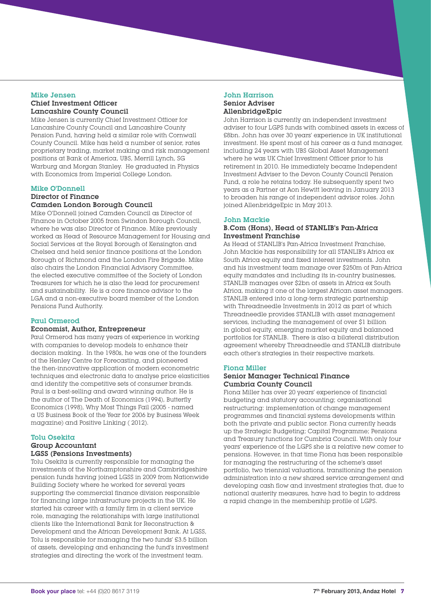#### Mike Jensen Chief Investment Officer Lancashire County Council

Mike Jensen is currently Chief Investment Officer for Lancashire County Council and Lancashire County Pension Fund, having held a similar role with Cornwall County Council. Mike has held a number of senior, rates proprietary trading, market making and risk management positions at Bank of America, UBS, Merrill Lynch, SG Warburg and Morgan Stanley. He graduated in Physics with Economics from Imperial College London.

#### Mike O'Donnell

#### Director of Finance Camden London Borough Council

Mike O'Donnell joined Camden Council as Director of Finance in October 2005 from Swindon Borough Council, where he was also Director of Finance. Mike previously worked as Head of Resource Management for Housing and Social Services at the Royal Borough of Kensington and Chelsea and held senior finance positions at the London Borough of Richmond and the London Fire Brigade. Mike also chairs the London Financial Advisory Committee, the elected executive committee of the Society of London Treasurers for which he is also the lead for procurement and sustainability. He is a core finance advisor to the LGA and a non-executive board member of the London Pensions Fund Authority.

#### Paul Ormerod

#### Economist, Author, Entrepreneur

Paul Ormerod has many years of experience in working with companies to develop models to enhance their decision making. In the 1980s, he was one of the founders of the Henley Centre for Forecasting, and pioneered the then-innovative application of modern econometric techniques and electronic data to analyse price elasticities and identify the competitive sets of consumer brands. Paul is a best-selling and award winning author. He is the author of The Death of Economics (1994), Butterfly Economics (1998), Why Most Things Fail (2005 - named a US Business Book of the Year for 2006 by Business Week magazine) and Positive Linking ( 2012).

#### Tolu Osekita

#### Group Accountant LGSS (Pensions Investments)

Tolu Osekita is currently responsible for managing the investments of the Northamptonshire and Cambridgeshire pension funds having joined LGSS in 2009 from Nationwide Building Society where he worked for several years supporting the commercial finance division responsible for financing large infrastructure projects in the UK. He started his career with a family firm in a client service role, managing the relationships with large institutional clients like the International Bank for Reconstruction & Development and the African Development Bank. At LGSS, Tolu is responsible for managing the two funds' £3.5 billion of assets, developing and enhancing the fund's investment strategies and directing the work of the investment team.

#### John Harrison Senior Adviser AllenbridgeEpic

John Harrison is currently an independent investment adviser to four LGPS funds with combined assets in excess of £8bn. John has over 30 years' experience in UK institutional investment. He spent most of his career as a fund manager, including 24 years with UBS Global Asset Management where he was UK Chief Investment Officer prior to his retirement in 2010. He immediately became Independent Investment Adviser to the Devon County Council Pension Fund, a role he retains today. He subsequently spent two years as a Partner at Aon Hewitt leaving in January 2013 to broaden his range of independent advisor roles. John joined AllenbridgeEpic in May 2013.

#### John Mackie

#### B.Com (Hons), Head of STANLIB's Pan-Africa Investment Franchise

As Head of STANLIB's Pan-Africa Investment Franchise, John Mackie has responsibility for all STANLIB's Africa ex South Africa equity and fixed interest investments. John and his investment team manage over \$250m of Pan-Africa equity mandates and including its in-country businesses, STANLIB manages over \$2bn of assets in Africa ex South Africa, making it one of the largest African asset managers. STANLIB entered into a long-term strategic partnership with Threadneedle Investments in 2012 as part of which Threadneedle provides STANLIB with asset management services, including the management of over \$1 billion in global equity, emerging market equity and balanced portfolios for STANLIB. There is also a bilateral distribution agreement whereby Threadneedle and STANLIB distribute each other's strategies in their respective markets.

#### Fiona Miller

#### Senior Manager Technical Finance Cumbria County Council

Fiona Miller has over 20 years' experience of financial budgeting and statutory accounting; organisational restructuring: implementation of change management programmes and financial systems developments within both the private and public sector. Fiona currently heads up the Strategic Budgeting; Capital Programme; Pensions and Treasury functions for Cumbria Council. With only four years' experience of the LGPS she is a relative new comer to pensions. However, in that time Fiona has been responsible for managing the restructuring of the scheme's asset portfolio, two triennial valuations, transitioning the pension administration into a new shared service arrangement and developing cash flow and investment strategies that, due to national austerity measures, have had to begin to address a rapid change in the membership profile of LGPS.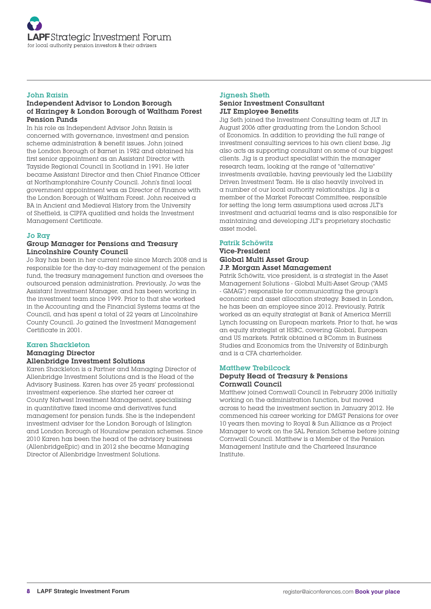#### John Raisin

#### Independent Advisor to London Borough of Haringey & London Borough of Waltham Forest Pension Funds

In his role as Independent Advisor John Raisin is concerned with governance, investment and pension scheme administration & benefit issues. John joined the London Borough of Barnet in 1982 and obtained his first senior appointment as an Assistant Director with Tayside Regional Council in Scotland in 1991. He later became Assistant Director and then Chief Finance Officer at Northamptonshire County Council. John's final local government appointment was as Director of Finance with the London Borough of Waltham Forest. John received a BA in Ancient and Medieval History from the University of Sheffield, is CIPFA qualified and holds the Investment Management Certificate.

#### Jo Ray

#### Group Manager for Pensions and Treasury Lincolnshire County Council

Jo Ray has been in her current role since March 2008 and is responsible for the day-to-day management of the pension fund, the treasury management function and oversees the outsourced pension administration. Previously, Jo was the Assistant Investment Manager, and has been working in the investment team since 1999. Prior to that she worked in the Accounting and the Financial Systems teams at the Council, and has spent a total of 22 years at Lincolnshire County Council. Jo gained the Investment Management Certificate in 2001.

#### Karen Shackleton Managing Director Allenbridge Investment Solutions

Karen Shackleton is a Partner and Managing Director of Allenbridge Investment Solutions and is the Head of the Advisory Business. Karen has over 25 years' professional investment experience. She started her career at County Natwest Investment Management, specialising in quantitative fixed income and derivatives fund management for pension funds. She is the independent investment adviser for the London Borough of Islington and London Borough of Hounslow pension schemes. Since 2010 Karen has been the head of the advisory business (AllenbridgeEpic) and in 2012 she became Managing Director of Allenbridge Investment Solutions.

#### Jignesh Sheth Senior Investment Consultant JLT Employee Benefits

Jig Seth joined the Investment Consulting team at JLT in August 2006 after graduating from the London School of Economics. In addition to providing the full range of investment consulting services to his own client base, Jig also acts as supporting consultant on some of our biggest clients. Jig is a product specialist within the manager research team, looking at the range of "alternative" investments available, having previously led the Liability Driven Investment Team. He is also heavily involved in a number of our local authority relationships. Jig is a member of the Market Forecast Committee, responsible for setting the long term assumptions used across JLT's investment and actuarial teams and is also responsible for maintaining and developing JLT's proprietary stochastic asset model.

#### Patrik Schöwitz

#### Vice-President Global Multi Asset Group

J.P. Morgan Asset Management Patrik Schöwitz, vice president, is a strategist in the Asset Management Solutions - Global Multi-Asset Group ("AMS

- GMAG") responsible for communicating the group's economic and asset allocation strategy. Based in London, he has been an employee since 2012. Previously, Patrik worked as an equity strategist at Bank of America Merrill Lynch focussing on European markets. Prior to that, he was an equity strategist at HSBC, covering Global, European and US markets. Patrik obtained a BComm in Business Studies and Economics from the University of Edinburgh and is a CFA charterholder.

#### Matthew Trebilcock

#### Deputy Head of Treasury & Pensions Cornwall Council

Matthew joined Cornwall Council in February 2006 initially working on the administration function, but moved across to head the investment section in January 2012. He commenced his career working for DMGT Pensions for over 10 years then moving to Royal & Sun Alliance as a Project Manager to work on the SAL Pension Scheme before joining Cornwall Council. Matthew is a Member of the Pension Management Institute and the Chartered Insurance Institute.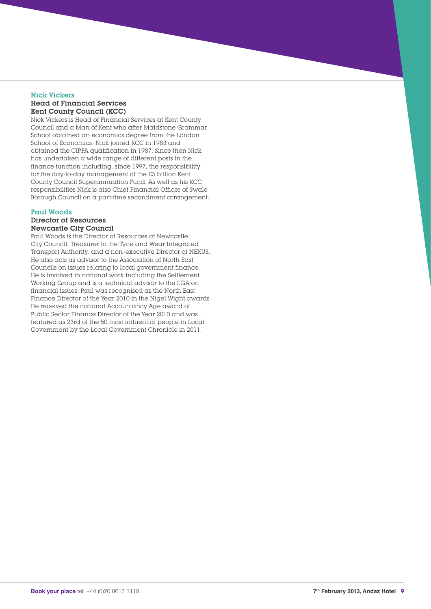#### Nick Vickers Head of Financial Services Kent County Council (KCC)

Nick Vickers is Head of Financial Services at Kent County Council and a Man of Kent who after Maidstone Grammar School obtained an economics degree from the London School of Economics. Nick joined KCC in 1983 and obtained the CIPFA qualification in 1987. Since then Nick has undertaken a wide range of different posts in the finance function including, since 1997, the responsibility for the day-to-day management of the £3 billion Kent County Council Superannuation Fund. As well as his KCC responsibilities Nick is also Chief Financial Officer of Swale Borough Council on a part-time secondment arrangement.

#### Paul Woods

#### Director of Resources Newcastle City Council

Paul Woods is the Director of Resources at Newcastle City Council, Treasurer to the Tyne and Wear Integrated Transport Authority, and a non–executive Director of NEXUS. He also acts as advisor to the Association of North East Councils on issues relating to local government finance. He is involved in national work including the Settlement Working Group and is a technical advisor to the LGA on financial issues. Paul was recognised as the North East Finance Director of the Year 2010 in the Nigel Wight awards. He received the national Accountancy Age award of Public Sector Finance Director of the Year 2010 and was featured as 23rd of the 50 most influential people in Local Government by the Local Government Chronicle in 2011.